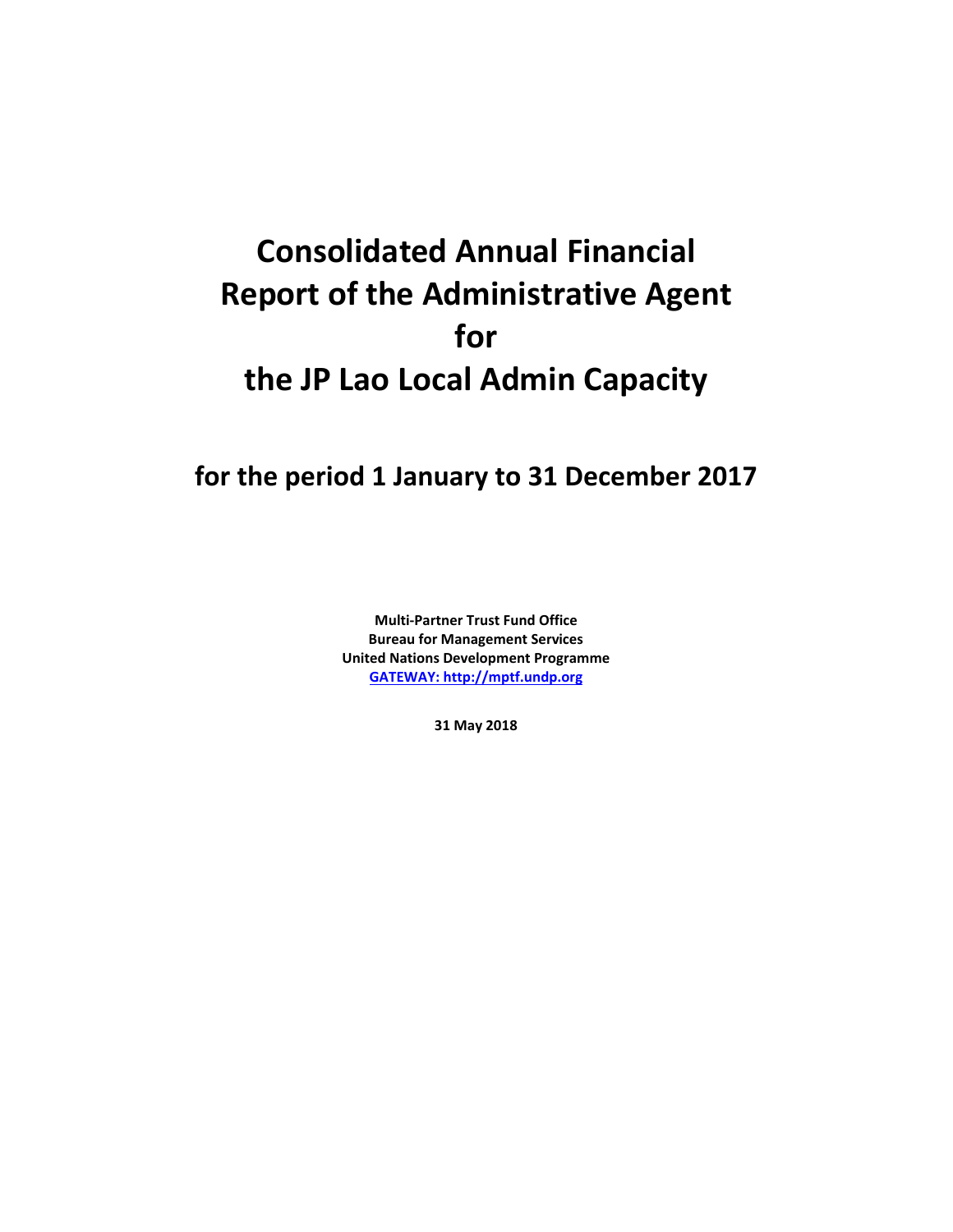# **Consolidated Annual Financial Report of the Administrative Agent for the JP Lao Local Admin Capacity**

## **for the period 1 January to 31 December 2017**

**Multi-Partner Trust Fund Office Bureau for Management Services United Nations Development Programme [GATEWAY: http://mptf.undp.org](http://mptf.undp.org/)**

**31 May 2018**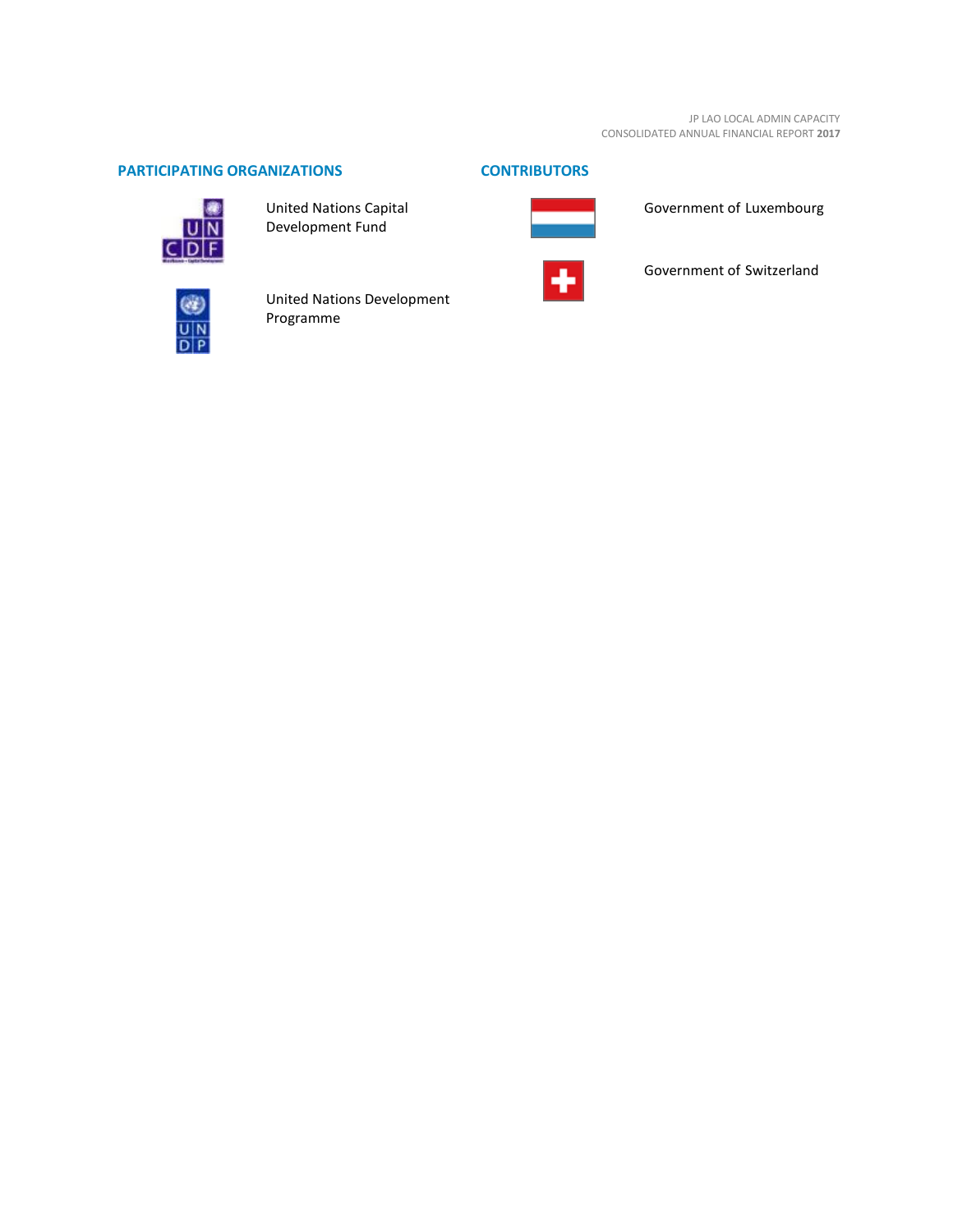JP LAO LOCAL ADMIN CAPACITY CONSOLIDATED ANNUAL FINANCIAL REPORT **2017**

#### **PARTICIPATING ORGANIZATIONS CONTRIBUTORS**



United Nations Capital Development Fund



Government of Luxembourg



Government of Switzerland



United Nations Development Programme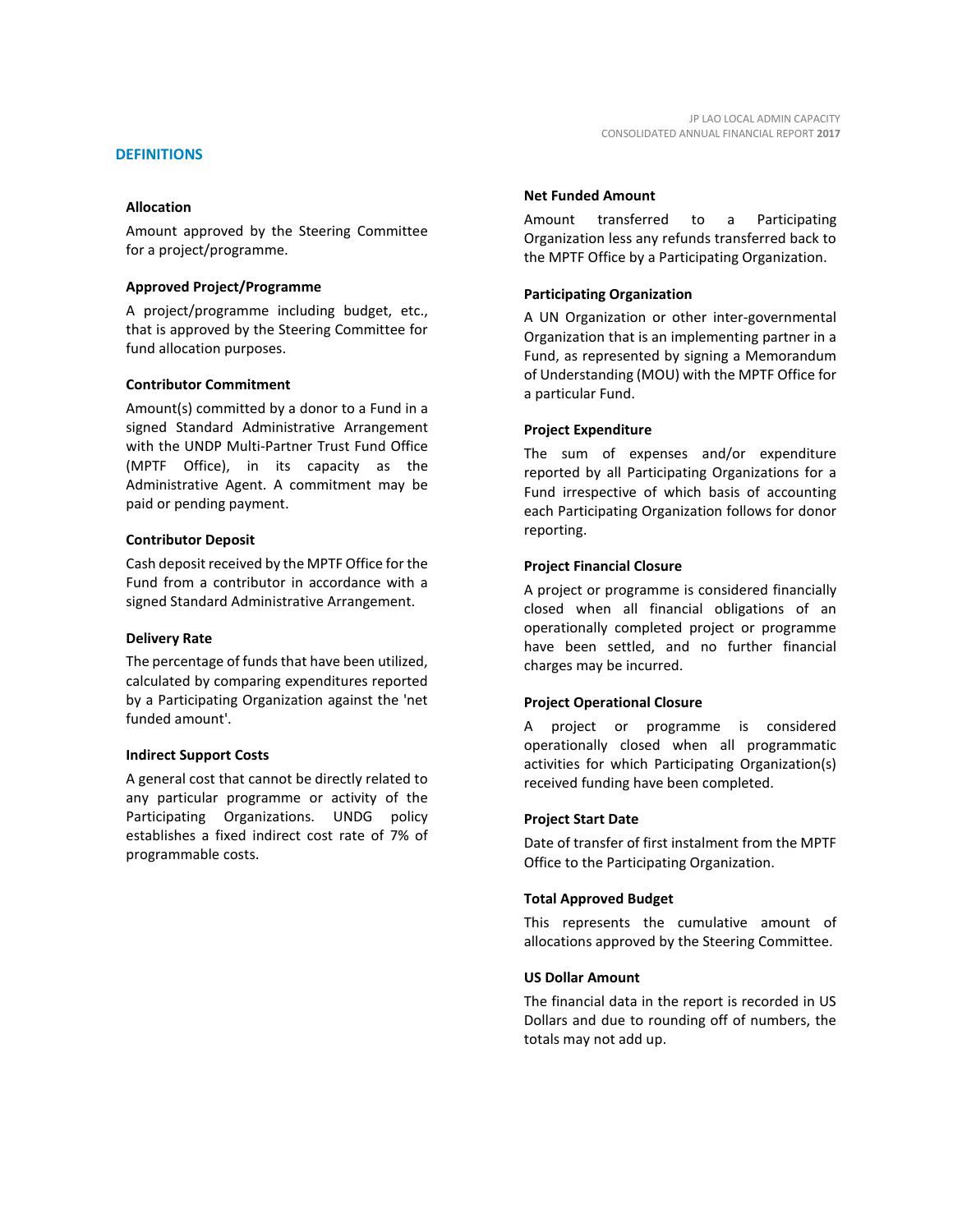Amount approved by the Steering Committee for a project/programme.

#### **Approved Project/Programme**

A project/programme including budget, etc., that is approved by the Steering Committee for fund allocation purposes.

#### **Contributor Commitment**

Amount(s) committed by a donor to a Fund in a signed Standard Administrative Arrangement with the UNDP Multi-Partner Trust Fund Office (MPTF Office), in its capacity as the Administrative Agent. A commitment may be paid or pending payment.

#### **Contributor Deposit**

Cash deposit received by the MPTF Office for the Fund from a contributor in accordance with a signed Standard Administrative Arrangement.

#### **Delivery Rate**

The percentage of funds that have been utilized, calculated by comparing expenditures reported by a Participating Organization against the 'net funded amount'.

#### **Indirect Support Costs**

A general cost that cannot be directly related to any particular programme or activity of the Participating Organizations. UNDG policy establishes a fixed indirect cost rate of 7% of programmable costs.

#### **Net Funded Amount**

Amount transferred to a Participating Organization less any refunds transferred back to the MPTF Office by a Participating Organization.

#### **Participating Organization**

A UN Organization or other inter-governmental Organization that is an implementing partner in a Fund, as represented by signing a Memorandum of Understanding (MOU) with the MPTF Office for a particular Fund.

#### **Project Expenditure**

The sum of expenses and/or expenditure reported by all Participating Organizations for a Fund irrespective of which basis of accounting each Participating Organization follows for donor reporting.

#### **Project Financial Closure**

A project or programme is considered financially closed when all financial obligations of an operationally completed project or programme have been settled, and no further financial charges may be incurred.

#### **Project Operational Closure**

A project or programme is considered operationally closed when all programmatic activities for which Participating Organization(s) received funding have been completed.

#### **Project Start Date**

Date of transfer of first instalment from the MPTF Office to the Participating Organization.

#### **Total Approved Budget**

This represents the cumulative amount of allocations approved by the Steering Committee.

#### **US Dollar Amount**

The financial data in the report is recorded in US Dollars and due to rounding off of numbers, the totals may not add up.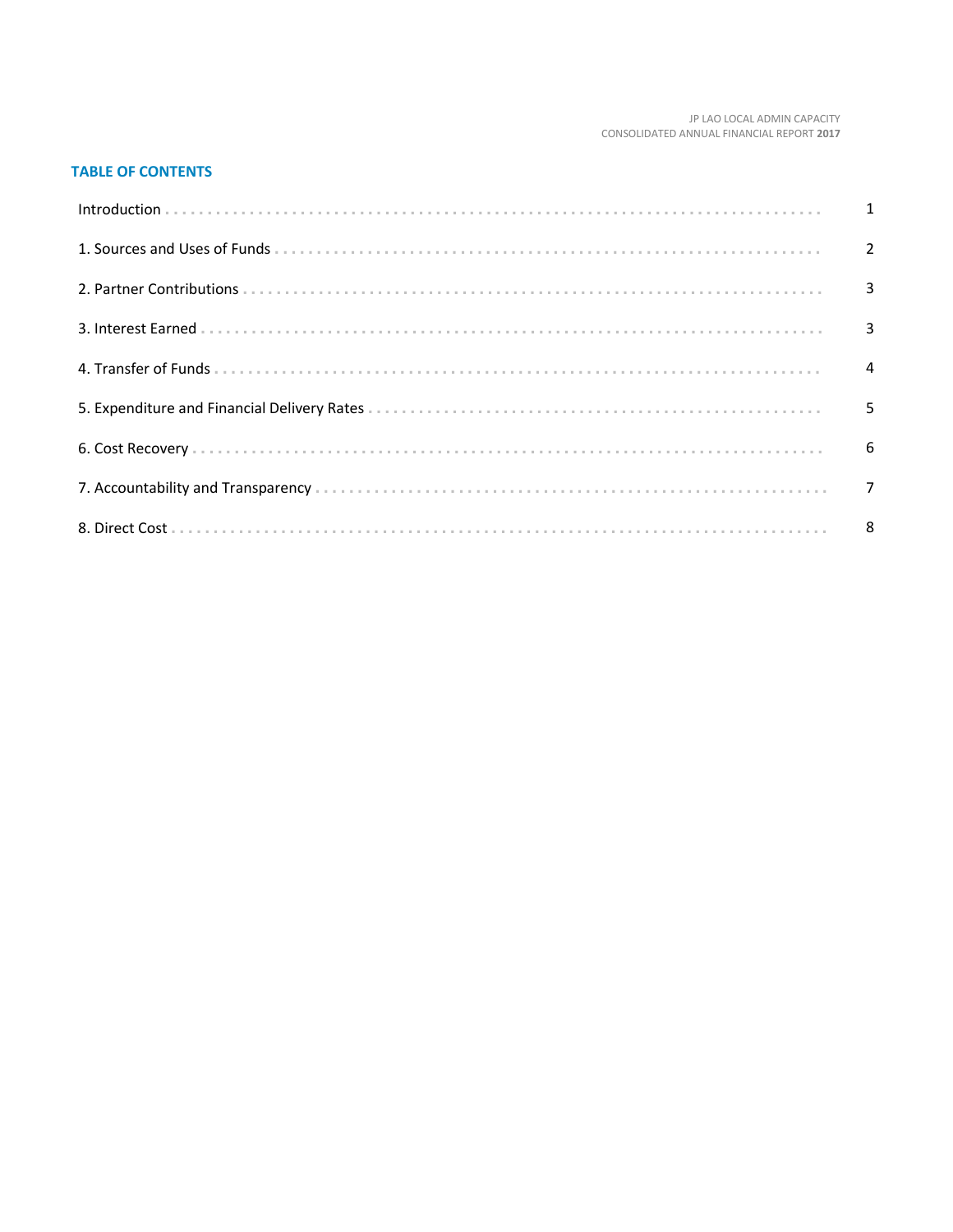#### JP LAO LOCAL ADMIN CAPACITY CONSOLIDATED ANNUAL FINANCIAL REPORT 2017

### **TABLE OF CONTENTS**

| Introduction 1 1 |  |
|------------------|--|
|                  |  |
|                  |  |
|                  |  |
|                  |  |
|                  |  |
|                  |  |
|                  |  |
|                  |  |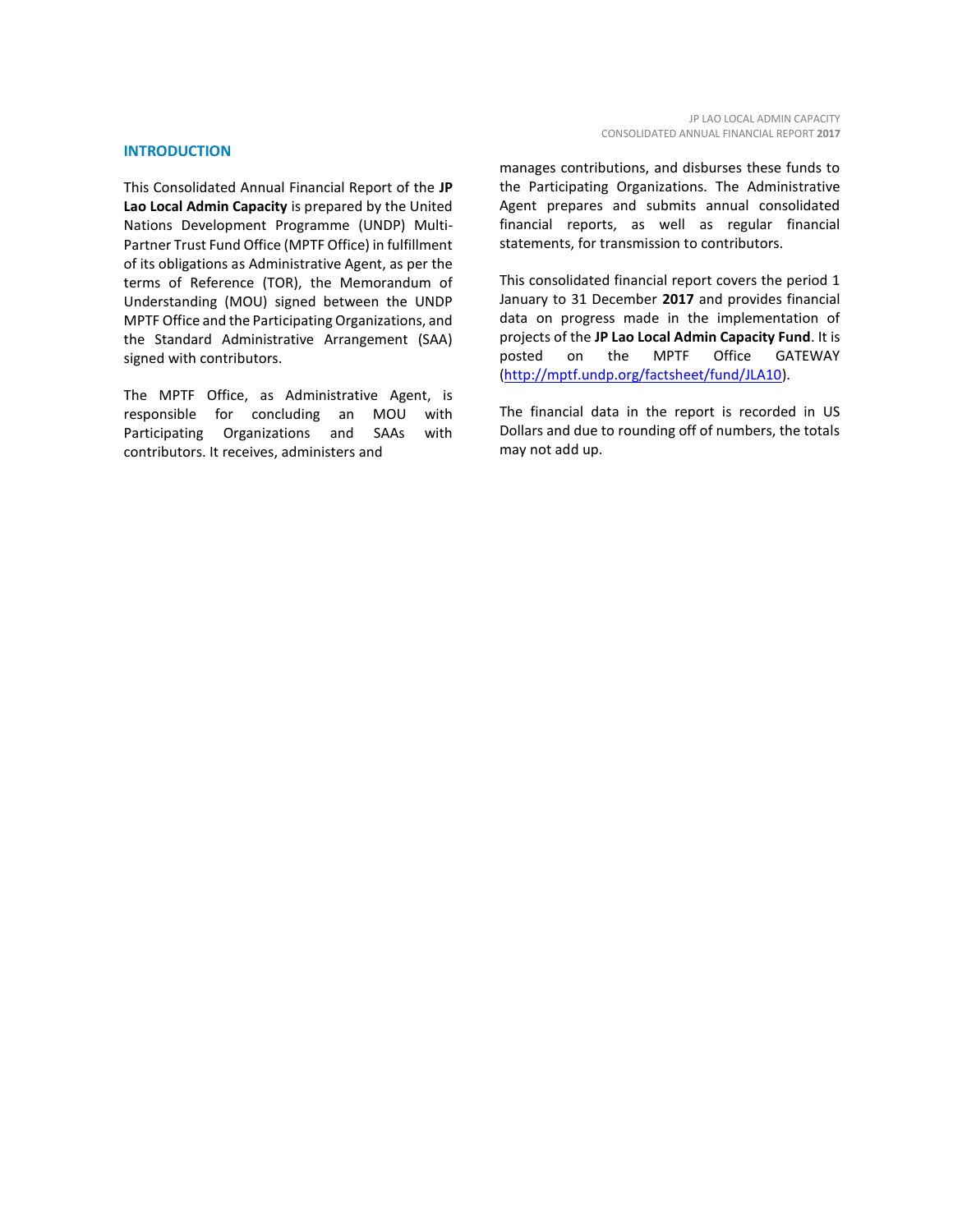#### **INTRODUCTION**

This Consolidated Annual Financial Report of the **JP Lao Local Admin Capacity** is prepared by the United Nations Development Programme (UNDP) Multi-Partner Trust Fund Office (MPTF Office) in fulfillment of its obligations as Administrative Agent, as per the terms of Reference (TOR), the Memorandum of Understanding (MOU) signed between the UNDP MPTF Office and the Participating Organizations, and the Standard Administrative Arrangement (SAA) signed with contributors.

The MPTF Office, as Administrative Agent, is responsible for concluding an MOU with Participating Organizations and SAAs with contributors. It receives, administers and

manages contributions, and disburses these funds to the Participating Organizations. The Administrative Agent prepares and submits annual consolidated financial reports, as well as regular financial statements, for transmission to contributors.

This consolidated financial report covers the period 1 January to 31 December **2017** and provides financial data on progress made in the implementation of projects of the **JP Lao Local Admin Capacity Fund**. It is posted on the MPTF Office GATEWAY [\(http://mptf.undp.org/factsheet/fund/JLA10\)](http://mptf.undp.org/factsheet/fund/JLA10).

The financial data in the report is recorded in US Dollars and due to rounding off of numbers, the totals may not add up.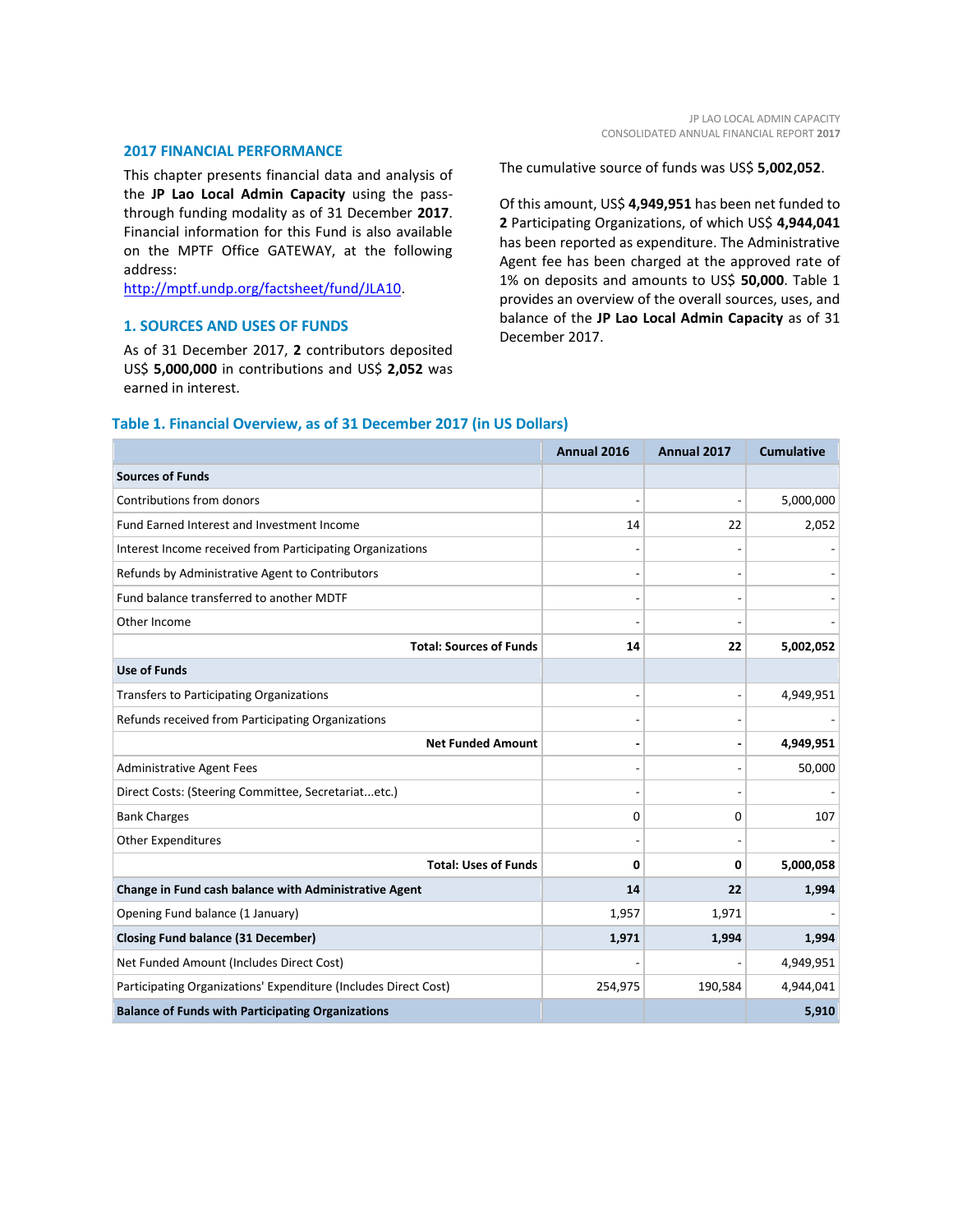#### **2017 FINANCIAL PERFORMANCE**

This chapter presents financial data and analysis of the **JP Lao Local Admin Capacity** using the passthrough funding modality as of 31 December **2017**. Financial information for this Fund is also available on the MPTF Office GATEWAY, at the following address:

[http://mptf.undp.org/factsheet/fund/JLA10.](http://mptf.undp.org/factsheet/fund/JLA10)

#### **1. SOURCES AND USES OF FUNDS**

As of 31 December 2017, **2** contributors deposited US\$ **5,000,000** in contributions and US\$ **2,052** was earned in interest.

The cumulative source of funds was US\$ **5,002,052**.

Of this amount, US\$ **4,949,951** has been net funded to **2** Participating Organizations, of which US\$ **4,944,041** has been reported as expenditure. The Administrative Agent fee has been charged at the approved rate of 1% on deposits and amounts to US\$ **50,000**. Table 1 provides an overview of the overall sources, uses, and balance of the **JP Lao Local Admin Capacity** as of 31 December 2017.

|                                                                 | Annual 2016    | Annual 2017 | <b>Cumulative</b> |
|-----------------------------------------------------------------|----------------|-------------|-------------------|
| <b>Sources of Funds</b>                                         |                |             |                   |
| Contributions from donors                                       |                |             | 5,000,000         |
| <b>Fund Earned Interest and Investment Income</b>               | 14             | 22          | 2,052             |
| Interest Income received from Participating Organizations       |                |             |                   |
| Refunds by Administrative Agent to Contributors                 |                |             |                   |
| Fund balance transferred to another MDTF                        |                |             |                   |
| Other Income                                                    |                |             |                   |
| <b>Total: Sources of Funds</b>                                  | 14             | 22          | 5,002,052         |
| <b>Use of Funds</b>                                             |                |             |                   |
| Transfers to Participating Organizations                        | $\overline{a}$ |             | 4,949,951         |
| Refunds received from Participating Organizations               |                |             |                   |
| <b>Net Funded Amount</b>                                        |                |             | 4,949,951         |
| <b>Administrative Agent Fees</b>                                |                |             | 50,000            |
| Direct Costs: (Steering Committee, Secretariatetc.)             |                |             |                   |
| <b>Bank Charges</b>                                             | 0              | 0           | 107               |
| <b>Other Expenditures</b>                                       |                |             |                   |
| <b>Total: Uses of Funds</b>                                     | 0              | 0           | 5,000,058         |
| Change in Fund cash balance with Administrative Agent           | 14             | 22          | 1,994             |
| Opening Fund balance (1 January)                                | 1,957          | 1,971       |                   |
| <b>Closing Fund balance (31 December)</b>                       | 1,971          | 1,994       | 1,994             |
| Net Funded Amount (Includes Direct Cost)                        |                |             | 4,949,951         |
| Participating Organizations' Expenditure (Includes Direct Cost) | 254,975        | 190,584     | 4,944,041         |
| <b>Balance of Funds with Participating Organizations</b>        |                |             | 5,910             |

#### **Table 1. Financial Overview, as of 31 December 2017 (in US Dollars)**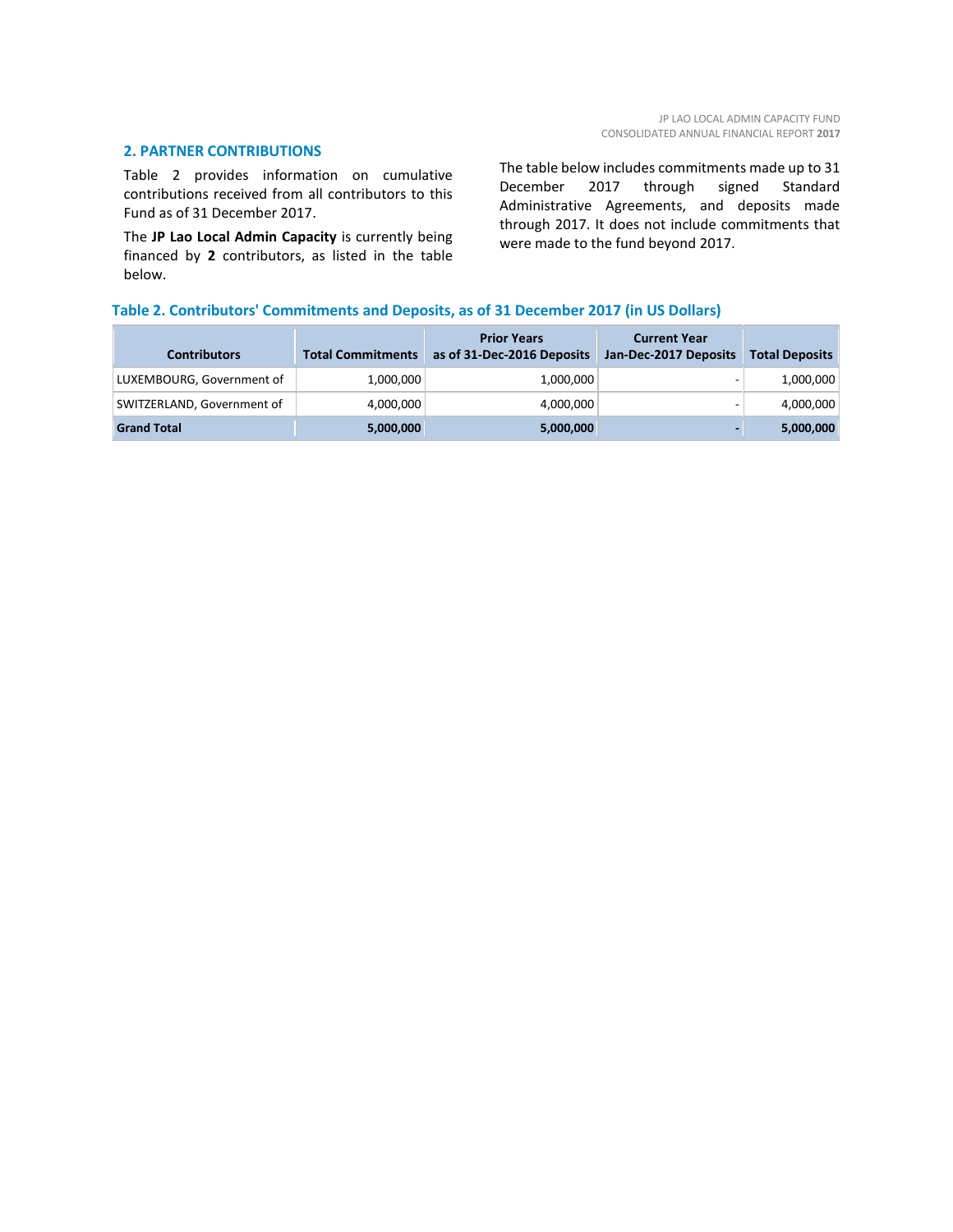#### **2. PARTNER CONTRIBUTIONS**

Table 2 provides information on cumulative contributions received from all contributors to this Fund as of 31 December 2017.

The **JP Lao Local Admin Capacity** is currently being financed by **2** contributors, as listed in the table below.

The table below includes commitments made up to 31 December 2017 through signed Standard Administrative Agreements, and deposits made through 2017. It does not include commitments that were made to the fund beyond 2017.

#### **Table 2. Contributors' Commitments and Deposits, as of 31 December 2017 (in US Dollars)**

| <b>Contributors</b>        | <b>Total Commitments</b> | <b>Prior Years</b><br>as of 31-Dec-2016 Deposits | <b>Current Year</b><br>Jan-Dec-2017 Deposits | <b>Total Deposits</b> |
|----------------------------|--------------------------|--------------------------------------------------|----------------------------------------------|-----------------------|
| LUXEMBOURG, Government of  | 1,000,000                | 1,000,000                                        | -                                            | 1,000,000             |
| SWITZERLAND, Government of | 4,000,000                | 4,000,000                                        | $\overline{\phantom{0}}$                     | 4,000,000             |
| <b>Grand Total</b>         | 5,000,000                | 5,000,000                                        | $\overline{\phantom{0}}$                     | 5,000,000             |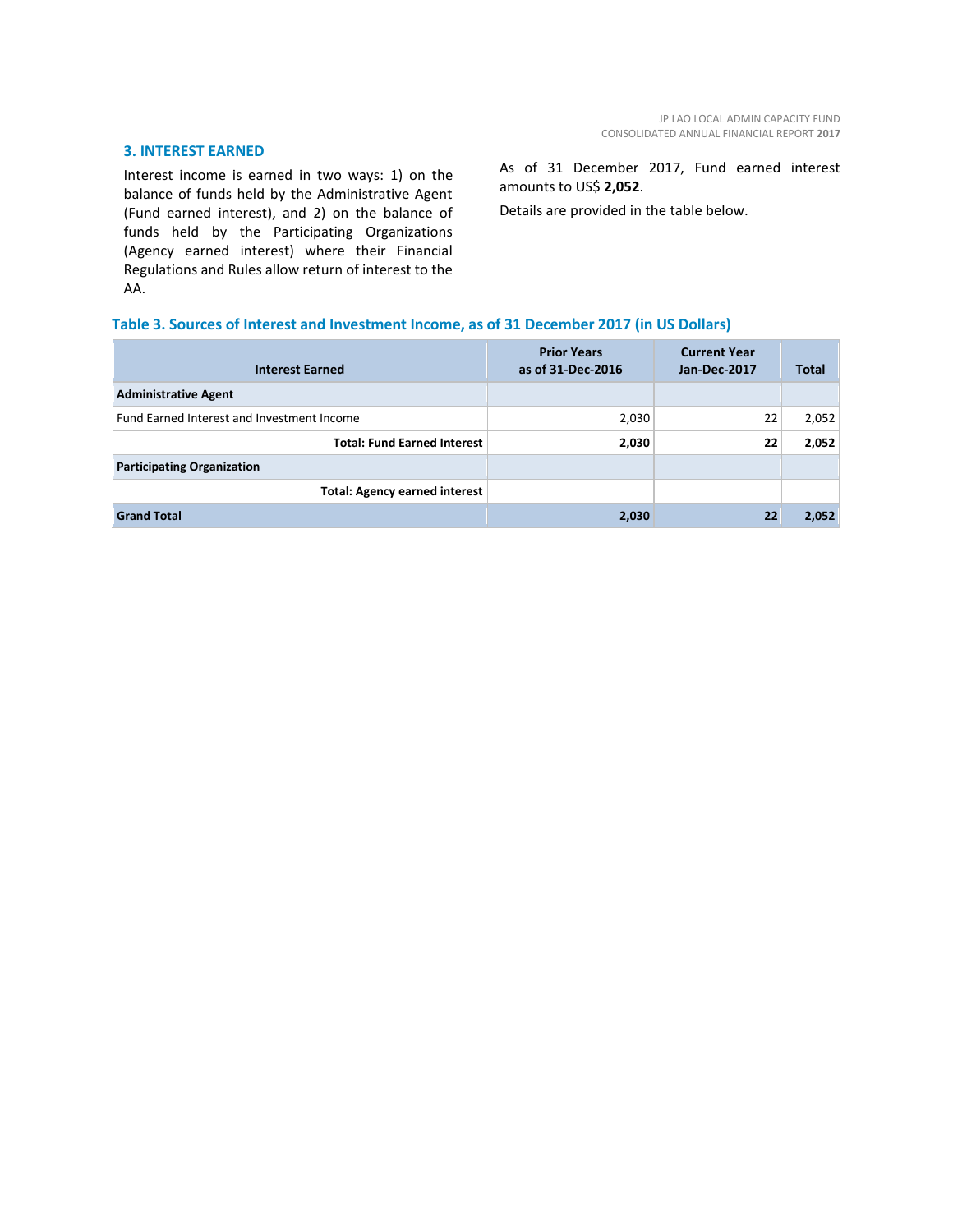#### **3. INTEREST EARNED**

Interest income is earned in two ways: 1) on the balance of funds held by the Administrative Agent (Fund earned interest), and 2) on the balance of funds held by the Participating Organizations (Agency earned interest) where their Financial Regulations and Rules allow return of interest to the AA.

As of 31 December 2017, Fund earned interest amounts to US\$ **2,052**.

Details are provided in the table below.

#### **Table 3. Sources of Interest and Investment Income, as of 31 December 2017 (in US Dollars)**

| <b>Interest Earned</b>                     | <b>Prior Years</b><br>as of 31-Dec-2016 | <b>Current Year</b><br>Jan-Dec-2017 | <b>Total</b> |
|--------------------------------------------|-----------------------------------------|-------------------------------------|--------------|
| <b>Administrative Agent</b>                |                                         |                                     |              |
| Fund Earned Interest and Investment Income | 2,030                                   | 22                                  | 2,052        |
| <b>Total: Fund Earned Interest</b>         | 2,030                                   | 22                                  | 2,052        |
| <b>Participating Organization</b>          |                                         |                                     |              |
| <b>Total: Agency earned interest</b>       |                                         |                                     |              |
| <b>Grand Total</b>                         | 2,030                                   | 22                                  | 2,052        |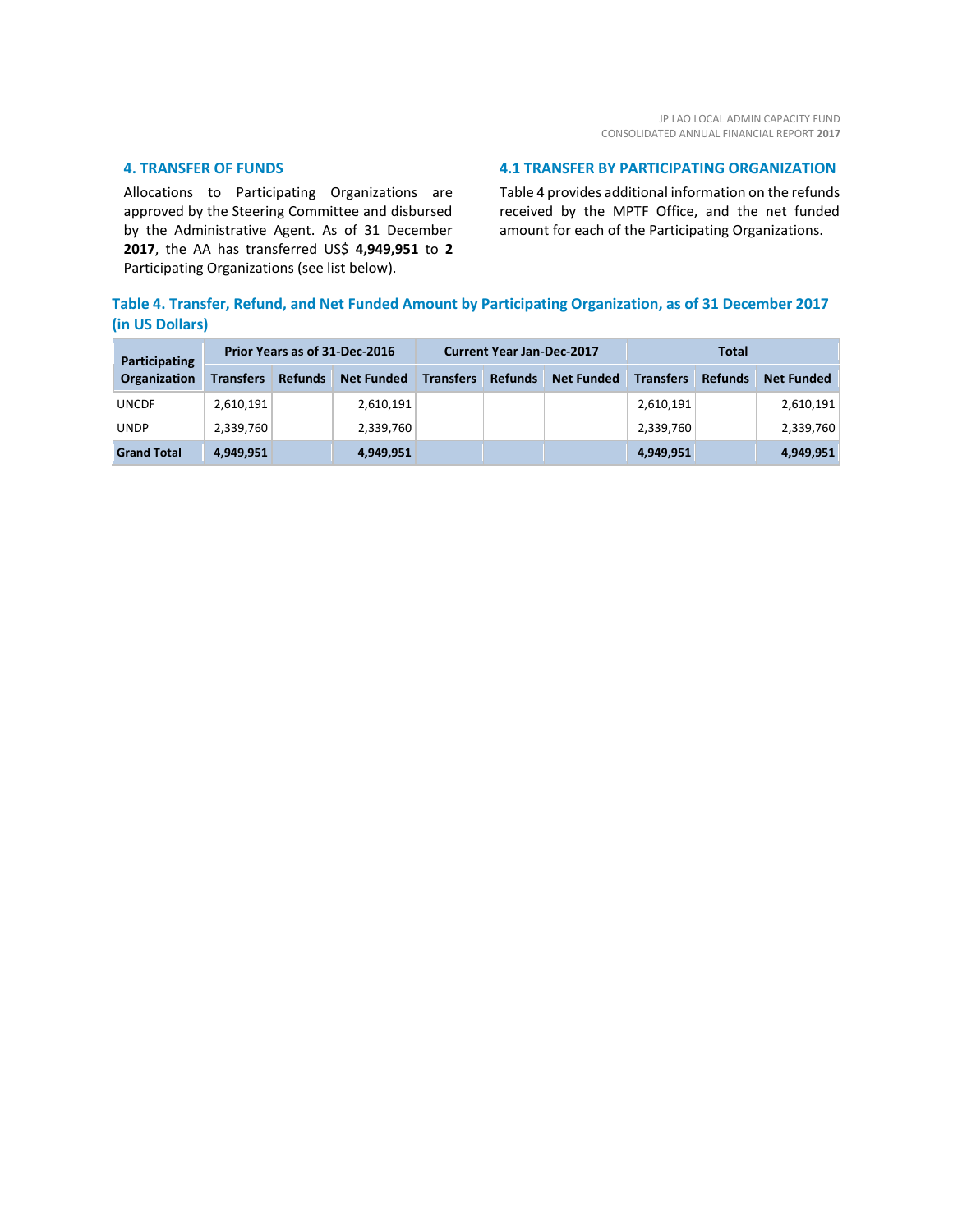#### **4. TRANSFER OF FUNDS**

Allocations to Participating Organizations are approved by the Steering Committee and disbursed by the Administrative Agent. As of 31 December **2017**, the AA has transferred US\$ **4,949,951** to **2** Participating Organizations (see list below).

#### **4.1 TRANSFER BY PARTICIPATING ORGANIZATION**

Table 4 provides additional information on the refunds received by the MPTF Office, and the net funded amount for each of the Participating Organizations.

#### **Table 4. Transfer, Refund, and Net Funded Amount by Participating Organization, as of 31 December 2017 (in US Dollars)**

| <b>Participating</b> | Prior Years as of 31-Dec-2016 |                |                   | <b>Current Year Jan-Dec-2017</b> |                |                   | <b>Total</b>     |                |                   |
|----------------------|-------------------------------|----------------|-------------------|----------------------------------|----------------|-------------------|------------------|----------------|-------------------|
| Organization         | <b>Transfers</b>              | <b>Refunds</b> | <b>Net Funded</b> | <b>Transfers</b>                 | <b>Refunds</b> | <b>Net Funded</b> | <b>Transfers</b> | <b>Refunds</b> | <b>Net Funded</b> |
| <b>UNCDF</b>         | 2,610,191                     |                | 2,610,191         |                                  |                |                   | 2,610,191        |                | 2,610,191         |
| <b>UNDP</b>          | 2,339,760                     |                | 2,339,760         |                                  |                |                   | 2,339,760        |                | 2,339,760         |
| <b>Grand Total</b>   | 4,949,951                     |                | 4,949,951         |                                  |                |                   | 4,949,951        |                | 4,949,951         |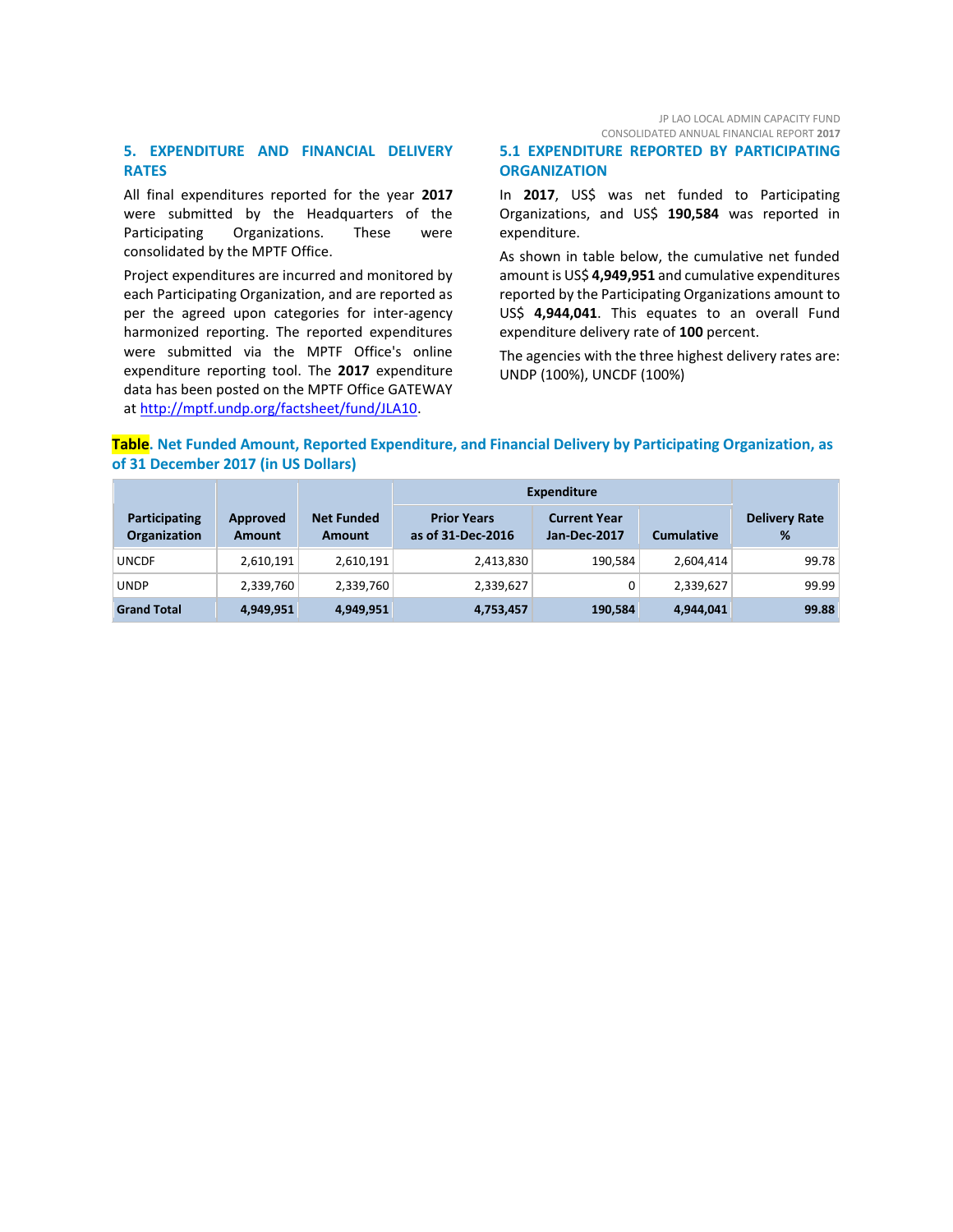JP LAO LOCAL ADMIN CAPACITY FUND CONSOLIDATED ANNUAL FINANCIAL REPORT **2017**

#### **5. EXPENDITURE AND FINANCIAL DELIVERY RATES**

All final expenditures reported for the year **2017** were submitted by the Headquarters of the Participating Organizations. These were consolidated by the MPTF Office.

Project expenditures are incurred and monitored by each Participating Organization, and are reported as per the agreed upon categories for inter-agency harmonized reporting. The reported expenditures were submitted via the MPTF Office's online expenditure reporting tool. The **2017** expenditure data has been posted on the MPTF Office GATEWAY at [http://mptf.undp.org/factsheet/fund/JLA10.](http://mptf.undp.org/factsheet/fund/JLA10) 

#### **5.1 EXPENDITURE REPORTED BY PARTICIPATING ORGANIZATION**

In **2017**, US\$ was net funded to Participating Organizations, and US\$ **190,584** was reported in expenditure.

As shown in table below, the cumulative net funded amount is US\$ **4,949,951** and cumulative expenditures reported by the Participating Organizations amount to US\$ **4,944,041**. This equates to an overall Fund expenditure delivery rate of **100** percent.

The agencies with the three highest delivery rates are: UNDP (100%), UNCDF (100%)

#### **Table. Net Funded Amount, Reported Expenditure, and Financial Delivery by Participating Organization, as of 31 December 2017 (in US Dollars)**

|                                             |                           |                                    | <b>Expenditure</b>                      |                                     |                   |                           |
|---------------------------------------------|---------------------------|------------------------------------|-----------------------------------------|-------------------------------------|-------------------|---------------------------|
| <b>Participating</b><br><b>Organization</b> | Approved<br><b>Amount</b> | <b>Net Funded</b><br><b>Amount</b> | <b>Prior Years</b><br>as of 31-Dec-2016 | <b>Current Year</b><br>Jan-Dec-2017 | <b>Cumulative</b> | <b>Delivery Rate</b><br>% |
| <b>UNCDF</b>                                | 2,610,191                 | 2,610,191                          | 2,413,830                               | 190,584                             | 2,604,414         | 99.78                     |
| <b>UNDP</b>                                 | 2,339,760                 | 2,339,760                          | 2,339,627                               | 0                                   | 2,339,627         | 99.99                     |
| <b>Grand Total</b>                          | 4,949,951                 | 4,949,951                          | 4,753,457                               | 190,584                             | 4,944,041         | 99.88                     |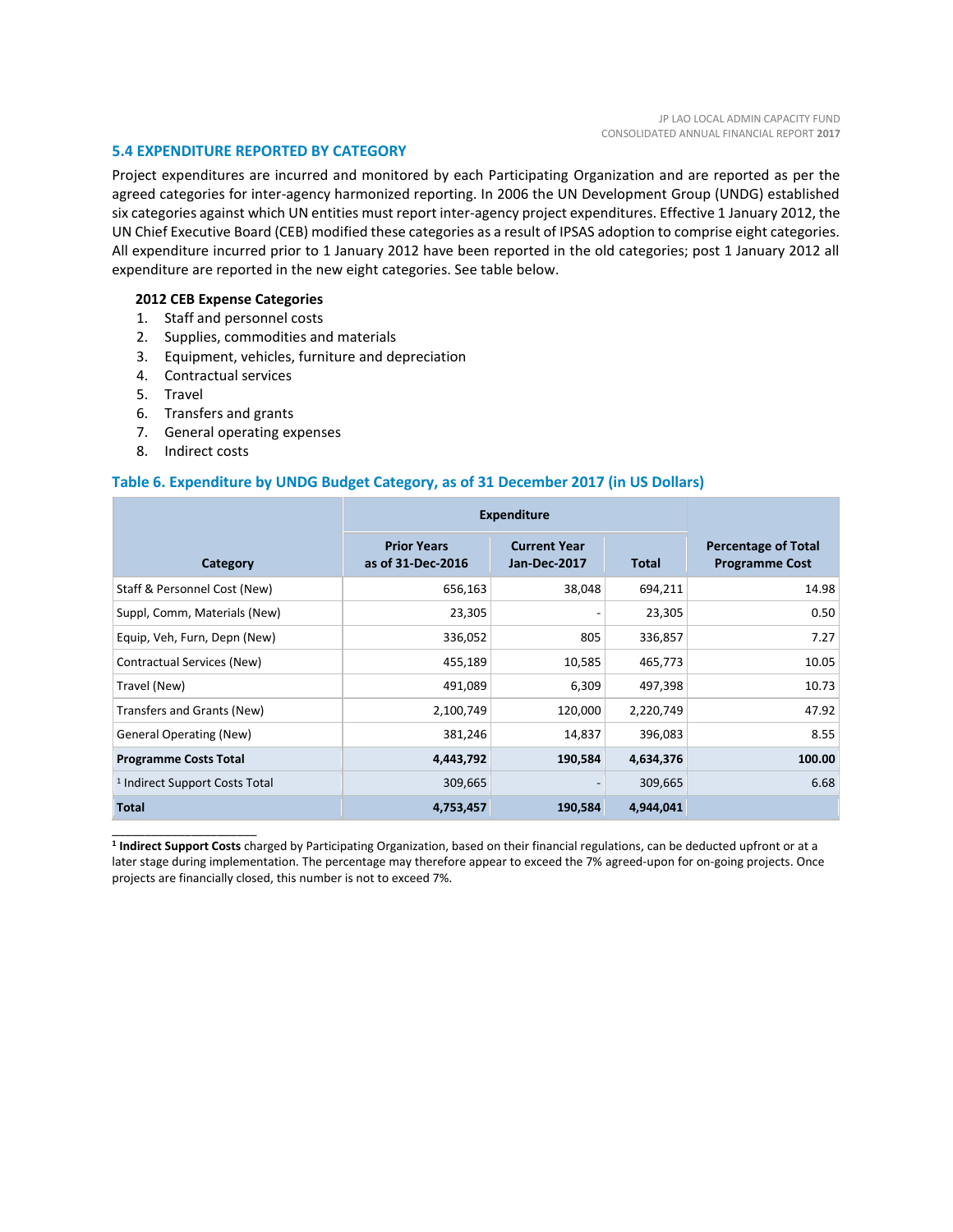#### **5.4 EXPENDITURE REPORTED BY CATEGORY**

Project expenditures are incurred and monitored by each Participating Organization and are reported as per the agreed categories for inter-agency harmonized reporting. In 2006 the UN Development Group (UNDG) established six categories against which UN entities must report inter-agency project expenditures. Effective 1 January 2012, the UN Chief Executive Board (CEB) modified these categories as a result of IPSAS adoption to comprise eight categories. All expenditure incurred prior to 1 January 2012 have been reported in the old categories; post 1 January 2012 all expenditure are reported in the new eight categories. See table below.

#### **2012 CEB Expense Categories**

- 1. Staff and personnel costs
- 2. Supplies, commodities and materials
- 3. Equipment, vehicles, furniture and depreciation
- 4. Contractual services
- 5. Travel
- 6. Transfers and grants
- 7. General operating expenses
- 8. Indirect costs

\_\_\_\_\_\_\_\_\_\_\_\_\_\_\_\_\_\_\_\_\_\_

#### **Table 6. Expenditure by UNDG Budget Category, as of 31 December 2017 (in US Dollars)**

|                                           | <b>Expenditure</b>                      |                                            |           |                                                     |
|-------------------------------------------|-----------------------------------------|--------------------------------------------|-----------|-----------------------------------------------------|
| Category                                  | <b>Prior Years</b><br>as of 31-Dec-2016 | <b>Current Year</b><br><b>Jan-Dec-2017</b> | Total     | <b>Percentage of Total</b><br><b>Programme Cost</b> |
| Staff & Personnel Cost (New)              | 656,163                                 | 38,048                                     | 694,211   | 14.98                                               |
| Suppl, Comm, Materials (New)              | 23,305                                  |                                            | 23,305    | 0.50                                                |
| Equip, Veh, Furn, Depn (New)              | 336,052                                 | 805                                        | 336,857   | 7.27                                                |
| Contractual Services (New)                | 455,189                                 | 10,585                                     | 465,773   | 10.05                                               |
| Travel (New)                              | 491,089                                 | 6,309                                      | 497,398   | 10.73                                               |
| Transfers and Grants (New)                | 2,100,749                               | 120,000                                    | 2,220,749 | 47.92                                               |
| <b>General Operating (New)</b>            | 381,246                                 | 14,837                                     | 396,083   | 8.55                                                |
| <b>Programme Costs Total</b>              | 4,443,792                               | 190,584                                    | 4,634,376 | 100.00                                              |
| <sup>1</sup> Indirect Support Costs Total | 309,665                                 |                                            | 309,665   | 6.68                                                |
| <b>Total</b>                              | 4,753,457                               | 190,584                                    | 4,944,041 |                                                     |

**1 Indirect Support Costs** charged by Participating Organization, based on their financial regulations, can be deducted upfront or at a later stage during implementation. The percentage may therefore appear to exceed the 7% agreed-upon for on-going projects. Once projects are financially closed, this number is not to exceed 7%.